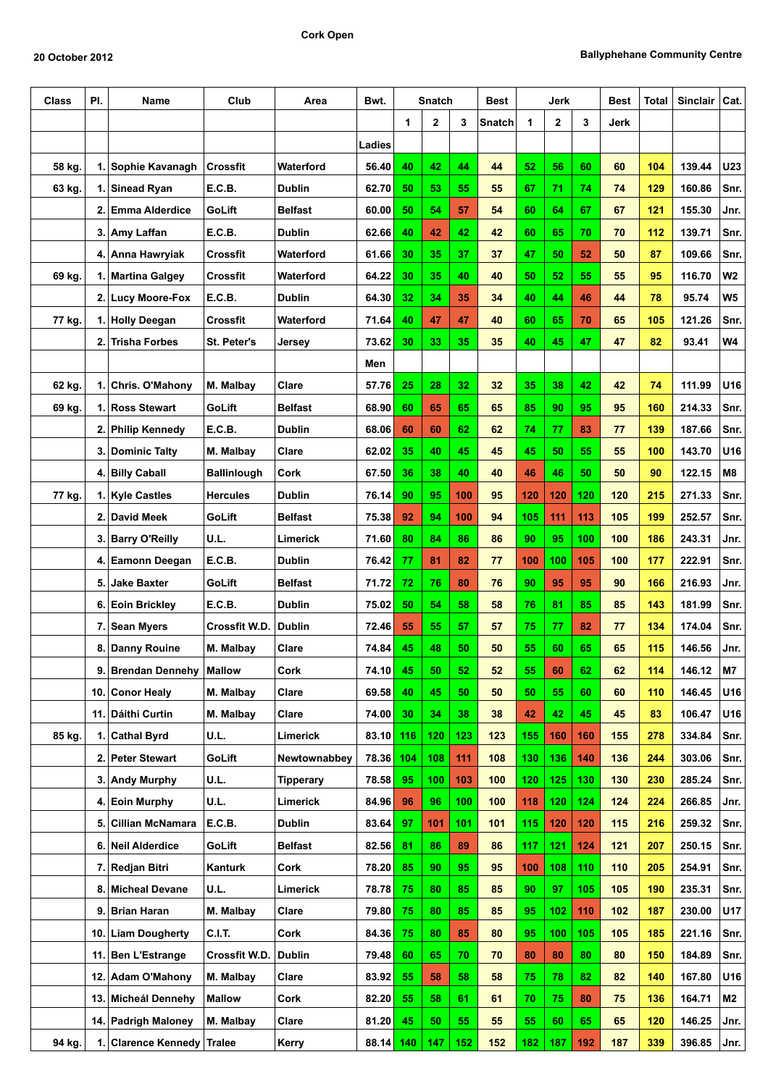| Class  | PI. | Name                    | Club               | Area             | Bwt.   | Snatch |     |     | Best   | Jerk |     |     | Best | Total | Sinclair   Cat. |                |
|--------|-----|-------------------------|--------------------|------------------|--------|--------|-----|-----|--------|------|-----|-----|------|-------|-----------------|----------------|
|        |     |                         |                    |                  |        | 1      | 2   | 3   | Snatch | 1    | 2   | 3   | Jerk |       |                 |                |
|        |     |                         |                    |                  | Ladies |        |     |     |        |      |     |     |      |       |                 |                |
| 58 kg. |     | 1. Sophie Kavanagh      | <b>Crossfit</b>    | Waterford        | 56.40  | 40     | 42  | 44  | 44     | 52   | 56  | 60  | 60   | 104   | 139.44          | U23            |
| 63 kg. |     | 1. Sinead Ryan          | E.C.B.             | <b>Dublin</b>    | 62.70  | 50     | 53  | 55  | 55     | 67   | 71  | 74  | 74   | 129   | 160.86          | Snr.           |
|        |     | 2. Emma Alderdice       | GoLift             | <b>Belfast</b>   | 60.00  | 50     | 54  | 57  | 54     | 60   | 64  | 67  | 67   | 121   | 155.30          | Jnr.           |
|        |     | 3. Amy Laffan           | E.C.B.             | <b>Dublin</b>    | 62.66  | 40     | 42  | 42  | 42     | 60   | 65  | 70  | 70   | 112   | 139.71          | Snr.           |
|        |     | 4.   Anna Hawryiak      | Crossfit           | Waterford        | 61.66  | 30     | 35  | 37  | 37     | 47   | 50  | 52  | 50   | 87    | 109.66          | Snr.           |
| 69 kg. | 1.  | <b>Martina Galgey</b>   | Crossfit           | Waterford        | 64.22  | 30     | 35  | 40  | 40     | 50   | 52  | 55  | 55   | 95    | 116.70          | W <sub>2</sub> |
|        |     | 2. Lucy Moore-Fox       | E.C.B.             | Dublin           | 64.30  | 32     | 34  | 35  | 34     | 40   | 44  | 46  | 44   | 78    | 95.74           | W <sub>5</sub> |
| 77 kg. |     | 1. Holly Deegan         | Crossfit           | Waterford        | 71.64  | 40     | 47  | 47  | 40     | 60   | 65  | 70  | 65   | 105   | 121.26          | Snr.           |
|        | 2.  | Trisha Forbes           | St. Peter's        | Jersey           | 73.62  | 30     | 33  | 35  | 35     | 40   | 45  | 47  | 47   | 82    | 93.41           | W4             |
|        |     |                         |                    |                  | Men    |        |     |     |        |      |     |     |      |       |                 |                |
| 62 kg. | 1.  | Chris. O'Mahony         | M. Malbay          | Clare            | 57.76  | 25     | 28  | 32  | 32     | 35   | 38  | 42  | 42   | 74    | 111.99          | U16            |
| 69 kg. | 1.  | <b>Ross Stewart</b>     | GoLift             | <b>Belfast</b>   | 68.90  | 60     | 65  | 65  | 65     | 85   | 90  | 95  | 95   | 160   | 214.33          | Snr.           |
|        |     | 2. Philip Kennedy       | E.C.B.             | <b>Dublin</b>    | 68.06  | 60     | 60  | 62  | 62     | 74   | 77  | 83  | 77   | 139   | 187.66          | Snr.           |
|        | 3.  | Dominic Talty           | M. Malbay          | Clare            | 62.02  | 35     | 40  | 45  | 45     | 45   | 50  | 55  | 55   | 100   | 143.70          | U16            |
|        |     | 4. Billy Caball         | <b>Ballinlough</b> | Cork             | 67.50  | 36     | 38  | 40  | 40     | 46   | 46  | 50  | 50   | 90    | 122.15          | M8             |
| 77 kg. |     | 1. Kyle Castles         | <b>Hercules</b>    | <b>Dublin</b>    | 76.14  | 90     | 95  | 100 | 95     | 120  | 120 | 120 | 120  | 215   | 271.33          | Snr.           |
|        | 2.  | David Meek              | GoLift             | <b>Belfast</b>   | 75.38  | 92     | 94  | 100 | 94     | 105  | 111 | 113 | 105  | 199   | 252.57          | Snr.           |
|        | 3.  | <b>Barry O'Reilly</b>   | U.L.               | Limerick         | 71.60  | 80     | 84  | 86  | 86     | 90   | 95  | 100 | 100  | 186   | 243.31          | Jnr.           |
|        | 4.  | <b>Eamonn Deegan</b>    | E.C.B.             | <b>Dublin</b>    | 76.42  | 77     | 81  | 82  | 77     | 100  | 100 | 105 | 100  | 177   | 222.91          | Snr.           |
|        | 5.  | Jake Baxter             | GoLift             | <b>Belfast</b>   | 71.72  | 72     | 76  | 80  | 76     | 90   | 95  | 95  | 90   | 166   | 216.93          | Jnr.           |
|        | 6.  | Eoin Brickley           | E.C.B.             | Dublin           | 75.02  | 50     | 54  | 58  | 58     | 76   | 81  | 85  | 85   | 143   | 181.99          | Snr.           |
|        |     | 7. Sean Myers           | Crossfit W.D.      | <b>Dublin</b>    | 72.46  | 55     | 55  | 57  | 57     | 75   | 77  | 82  | 77   | 134   | 174.04          | Snr.           |
|        | 8.  | Danny Rouine            | M. Malbay          | Clare            | 74.84  | 45     | 48  | 50  | 50     | 55   | 60  | 65  | 65   | 115   | 146.56          | Jnr.           |
|        | 9.  | <b>Brendan Dennehy</b>  | Mallow             | Cork             | 74.10  | 45     | 50  | 52  | 52     | 55   | 60  | 62  | 62   | 114   | 146.12          | M7             |
|        |     | 10. Conor Healy         | M. Malbay          | Clare            | 69.58  | 40     | 45  | 50  | 50     | 50   | 55  | 60  | 60   | 110   | 146.45          | U16            |
|        |     | 11. Dáithi Curtin       | M. Malbay          | Clare            | 74.00  | 30     | 34  | 38  | 38     | 42   | 42  | 45  | 45   | 83    | 106.47          | U16            |
| 85 kg. |     | 1. Cathal Byrd          | U.L.               | Limerick         | 83.10  | 116    | 120 | 123 | 123    | 155  | 160 | 160 | 155  | 278   | 334.84          | Snr.           |
|        |     | 2. Peter Stewart        | GoLift             | Newtownabbey     | 78.36  | 104    | 108 | 111 | 108    | 130  | 136 | 140 | 136  | 244   | 303.06          | Snr.           |
|        |     | 3. Andy Murphy          | U.L.               | <b>Tipperary</b> | 78.58  | 95     | 100 | 103 | 100    | 120  | 125 | 130 | 130  | 230   | 285.24          | Snr.           |
|        | 4.  | <b>Eoin Murphy</b>      | U.L.               | Limerick         | 84.96  | 96     | 96  | 100 | 100    | 118  | 120 | 124 | 124  | 224   | 266.85          | Jnr.           |
|        | 5.  | <b>Cillian McNamara</b> | E.C.B.             | <b>Dublin</b>    | 83.64  | 97     | 101 | 101 | 101    | 115  | 120 | 120 | 115  | 216   | 259.32          | Snr.           |
|        |     | 6. Neil Alderdice       | GoLift             | Belfast          | 82.56  | 81     | 86  | 89  | 86     | 117  | 121 | 124 | 121  | 207   | 250.15          | Snr.           |
|        |     | 7. Redjan Bitri         | Kanturk            | Cork             | 78.20  | 85     | 90  | 95  | 95     | 100  | 108 | 110 | 110  | 205   | 254.91          | Snr.           |
|        |     | 8. Micheal Devane       | U.L.               | Limerick         | 78.78  | 75     | 80  | 85  | 85     | 90   | 97  | 105 | 105  | 190   | 235.31          | Snr.           |
|        | 9.  | <b>Brian Haran</b>      | M. Malbay          | Clare            | 79.80  | 75     | 80  | 85  | 85     | 95   | 102 | 110 | 102  | 187   | 230.00          | U17            |
|        | 10. | <b>Liam Dougherty</b>   | <b>C.I.T.</b>      | Cork             | 84.36  | 75     | 80  | 85  | 80     | 95   | 100 | 105 | 105  | 185   | 221.16          | Snr.           |
|        | 11. | Ben L'Estrange          | Crossfit W.D.      | <b>Dublin</b>    | 79.48  | 60     | 65  | 70  | 70     | 80   | 80  | 80  | 80   | 150   | 184.89          | Snr.           |
|        |     | 12. Adam O'Mahony       | M. Malbay          | Clare            | 83.92  | 55     | 58  | 58  | 58     | 75   | 78  | 82  | 82   | 140   | 167.80          | U16            |
|        |     | 13. Micheál Dennehy     | <b>Mallow</b>      | Cork             | 82.20  | 55     | 58  | 61  | 61     | 70   | 75  | 80  | 75   | 136   | 164.71          | M2             |
|        |     | 14. Padrigh Maloney     | M. Malbay          | Clare            | 81.20  | 45     | 50  | 55  | 55     | 55   | 60  | 65  | 65   | 120   | 146.25          | Jnr.           |
| 94 kg. |     | 1. Clarence Kennedy     | Tralee             | Kerry            | 88.14  | 140    | 147 | 152 | 152    | 182  | 187 | 192 | 187  | 339   | 396.85          | Jnr.           |